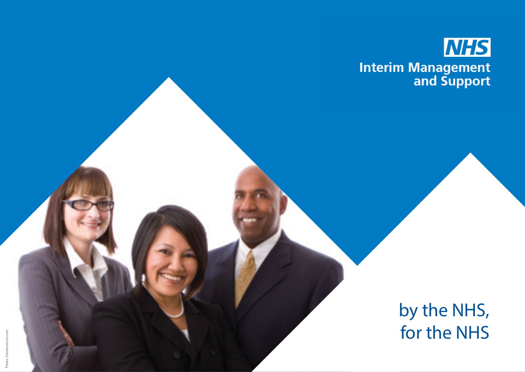

# by the NHS, for the NHS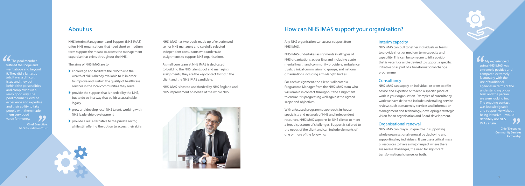# About us a set of the How can NHS IMAS support your organisation?

#### Interim capacity

NHS IMAS can pull together individuals or teams to provide short or medium term capacity and capability. This can be someone to fill a position that is vacant or a role devised to support a specific initiative or as part of a transformational change programme.

#### **Consultancy**

NHS IMAS can supply an individual or team to offer advice and expertise or to lead a specific piece of work in your organisation. Examples of consultancy work we have delivered include undertaking service reviews such as maternity services and information management and technology, developing a strategic vision for an organisation and Board development.

#### Organisational renewal

NHS IMAS can play a unique role in supporting whole organisational renewal by deploying and supporting key individuals. It can use a critical mass of resources to have a major impact where there are severe challenges, the need for significant transformational change, or both.

Any NHS organisation can access support from NHS IMAS.

NHS IMAS undertakes assignments in all types of NHS organisations across England including acute, mental health and community providers, ambulance trusts, clinical commissioning groups, and national organisations including arms-length bodies.

- $\blacktriangleright$  encourage and facilitate the NHS to use the wealth of skills already available to it, in order to improve and sustain the quality of healthcare services in the local communities they serve
- $\triangleright$  provide the support that is needed by the NHS, but to do so in a way that builds a sustainable legacy
- $\triangleright$  grow and develop local NHS talent, working with NHS leadership development
- $\blacktriangleright$  provide a real alternative to the private sector, while still offering the option to access their skills.

For each assignment, the client is allocated a Programme Manager from the NHS IMAS team who will remain in contact throughout the assignment to ensure it is progressing well against the agreed scope and objectives.

With a focused programme approach, in-house specialists and network of NHS and independent resources, NHS IMAS supports its NHS clients to meet a broad spectrum of challenges. Support is tailored to the needs of the client and can include elements of one or more of the following:

NHS Interim Management and Support (NHS IMAS) offers NHS organisations that need short or medium term support the means to access the management expertise that exists throughout the NHS.

The aims of NHS IMAS are to:

NHS IMAS has two pools made up of experienced senior NHS managers and carefully selected independent consultants who undertake assignments to support NHS organisations.

A small core team at NHS IMAS is dedicated to building the NHS talent pool and managing assignments, they are the key contact for both the client and the NHS IMAS candidate.

NHS IMAS is hosted and funded by NHS England and NHS Improvement on behalf of the whole NHS.

 $\left\{ \begin{array}{c}\n\bullet \\
\bullet \\
\bullet \\
\bullet \\
\bullet\n\end{array} \right.$  fulfi people with them made<br>them very good<br>value for money. The pool member fulfilled the scope and went above and beyond it. They did a fantastic job. It was a difficult issue and they got behind the personalities and complexities in a really good way. The pool member's level of experience and expertise and their ability to take them very good value for money.

> Chief Executive, NHS Foundation Trust

'' '<br>22 **My experience of** using NHS IMAS was extremely positive and compared extremely favourably with the use of traditional agencies in terms of the understanding of our brief and the person we were looking for. The ongoing contact was knowledgeable and supportive without being intrusive - I would definitely use NHS IMAS again.

> Chief Executive, Community Services Partnership

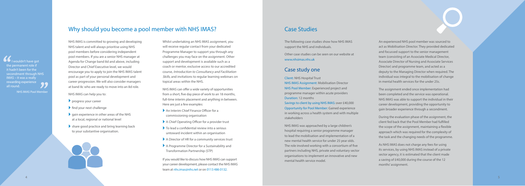An experienced NHS pool member was sourced to act as Mobilisation Director. They provided dedicated and focussed support to the senior management team (consisting of an Associate Medical Director, Associate Director of Nursing and Associate Services Director) and programme team, and acted as a deputy to the Managing Director when required. The individual was integral to the mobilisation of change in mental health services for the under 25s.

The assignment ended once implementation had been completed and the service was operational. NHS IMAS was able to support the individual in their career development, providing the opportunity to gain broader experience through a secondment.

During the evaluation phase of the assignment, the client fed back that the Pool Member had fulfilled the scope of the assignment, maintaining a flexible approach which was required for the complexity of the task and the changing needs of the programme.

As NHS IMAS does not charge any fees for using its services, by using NHS IMAS instead of a private sector agency, it is estimated that the client made a saving of £40,000 during the course of the 12 months' assignment.

The following case studies show how NHS IMAS support the NHS and individuals.

Other case studies can be seen on our website at www.nhsimas.nhs.uk

### Case study one

Client: NHS Hospital Trust

NHS IMAS Assignment: Mobilisation Director NHS Pool Member: Experienced project and programme manager within acute providers Duration: 12 months

Savings to client by using NHS IMAS: over £40,000 Opportunity for Pool Member: Gained experience in working across a health system and with multiple stakeholders

NHS IMAS was approached by a large children's hospital requiring a senior programme manager to lead the mobilisation and implementation of a new mental health service for under 25 year olds. The role involved working with a consortium of five partners including NHS, private and voluntary sector organisations to implement an innovative and new mental health service model.

 $\left\{\begin{array}{c}\n\bullet \\
\bullet \\
\bullet \\
\bullet \\
\bullet\n\end{array}\right.$ '' I wouldn't have got the permanent role if it hadn't been for the secondment through NHS IMAS – it was a really rewarding experience all round.

NHS IMAS is committed to growing and developing NHS talent and will always prioritise using NHS pool members before considering independent pool members. If you are a senior NHS manager at Agenda for Change band 8d and above, including Director and Chief Executive level, we would encourage you to apply to join the NHS IMAS talent pool as part of your personal development and career progression. We will also consider managers at band 8c who are ready to move into an 8d role.

NHS IMAS can help you to:

- ` progress your career
- $\blacktriangleright$  find your next challenge
- $\bullet$  gain experience in other areas of the NHS at a local, regional or national level
- $\blacktriangleright$  share good practice and bring learning back to your substantive organisation.

Whilst undertaking an NHS IMAS assignment, you will receive regular contact from your dedicated Programme Manager to support you through any challenges you may face on the assignment. Other support and development is available such as a coach or mentor, exclusive access to our accredited course, Introduction to Consultancy and Facilitation Skills, and invitations to regular learning webinars on topical areas within the NHS.

NHS IMAS can offer a wide variety of opportunities from a short, five day piece of work to an 18 months, full-time interim placement and anything in between. Here are just a few examples:

- ` An Interim Chief Finance Officer for a commissioning organisation
- ` A Chief Operating Officer for a provider trust
- $\blacktriangleright$  To lead a confidential review into a serious untoward incident within an organisation
- ` A Director of HR for a community services trust
- ` A Programme Director for a Sustainability and Transformation Partnership (STP)

If you would like to discuss how NHS IMAS can support your career development, please contact the NHS IMAS team at [nhs.imas@nhs.net](mailto:nhs.imas%40nhs.net?subject=) or on 0113 486 0132.

NHS IMAS Pool Member

# Why should you become a pool member with NHS IMAS? Case Studies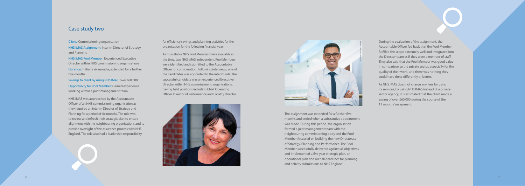### Case study two

The assignment was extended for a further five months and ended when a substantive appointment was made. During this period, the organisation formed a joint management team with the neighbouring commissioning body and the Pool Member focussed on building the new Directorate of Strategy, Planning and Performance. The Pool Member successfully delivered against all objectives and implemented a five year strategic plan, an operational plan and met all deadlines for planning and activity submissions to NHS England.

Client: Commissioning organisation

NHS IMAS Assignment: Interim Director of Strategy and Planning

NHS IMAS Pool Member: Experienced Executive Director within NHS commissioning organisations Duration: Initially six months, extended for a further five months

Savings to client by using NHS IMAS: over £60,000 Opportunity for Pool Member: Gained experience working within a joint management team

NHS IMAS was approached by the Accountable Officer of an NHS commissioning organisation as they required an interim Director of Strategy and Planning for a period of six months. The role was to review and refresh their strategic plan to ensure alignment with the neighbouring organisations and to provide oversight of the assurance process with NHS England. The role also had a leadership responsibility

During the evaluation of the assignment, the Accountable Officer fed back that the Pool Member fulfilled the scope extremely well and integrated into the Director team as if they were a member of staff. They also said that the Pool Member was good value in comparison to the private sector, especially for the quality of their work, and there was nothing they could have done differently or better.

As NHS IMAS does not charge any fees for using its services, by using NHS IMAS instead of a private sector agency, it is estimated that the client made a saving of over £60,000 during the course of the 11 months' assignment.

for efficiency savings and planning activities for the organisation for the following financial year.

As no suitable NHS Pool Members were available at the time, two NHS IMAS independent Pool Members were identified and submitted to the Accountable Officer for consideration. Following interviews, one of the candidates was appointed to the interim role. The successful candidate was an experienced Executive Director within NHS commissioning organisations, having held positions including Chief Operating Officer, Director of Performance and Locality Director.



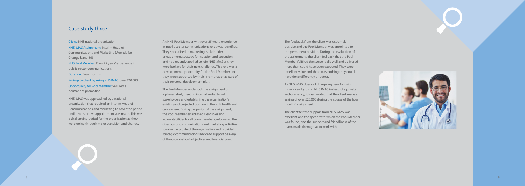An NHS Pool Member with over 25 years' experience in public sector communications roles was identified. They specialised in marketing, stakeholder engagement, strategy formulation and execution and had recently applied to join NHS IMAS as they were looking for their next challenge. This role was a development opportunity for the Pool Member and they were supported by their line manager as part of their personal development plan.

The Pool Member undertook the assignment on a phased start, meeting internal and external stakeholders and establishing the organisation's existing and projected position in the NHS health and care system. During the period of the assignment, the Pool Member established clear roles and accountabilities for all team members, refocussed the direction of communications and marketing activities to raise the profile of the organisation and provided strategic communications advice to support delivery of the organisation's objectives and financial plan.

Client: NHS national organisation

NHS IMAS Assignment: Interim Head of Communications and Marketing (Agenda for Change band 8d)

NHS Pool Member: Over 25 years' experience in public sector communications

Duration: Four months

Savings to client by using NHS IMAS: over £20,000 Opportunity for Pool Member: Secured a permanent promotion

NHS IMAS was approached by a national organisation that required an interim Head of Communications and Marketing to cover the period until a substantive appointment was made. This was a challenging period for the organisation as they were going through major transition and change.

## Case study three

The feedback from the client was extremely positive and the Pool Member was appointed to the permanent position. During the evaluation of the assignment, the client fed back that the Pool Member fulfilled the scope really well and delivered more than could have been expected. They were excellent value and there was nothing they could have done differently or better.

As NHS IMAS does not charge any fees for using its services, by using NHS IMAS instead of a private sector agency, it is estimated that the client made a saving of over £20,000 during the course of the four months' assignment.

The client felt the support from NHS IMAS was excellent and the speed with which the Pool Member was found, and the support and friendliness of the team, made them great to work with.